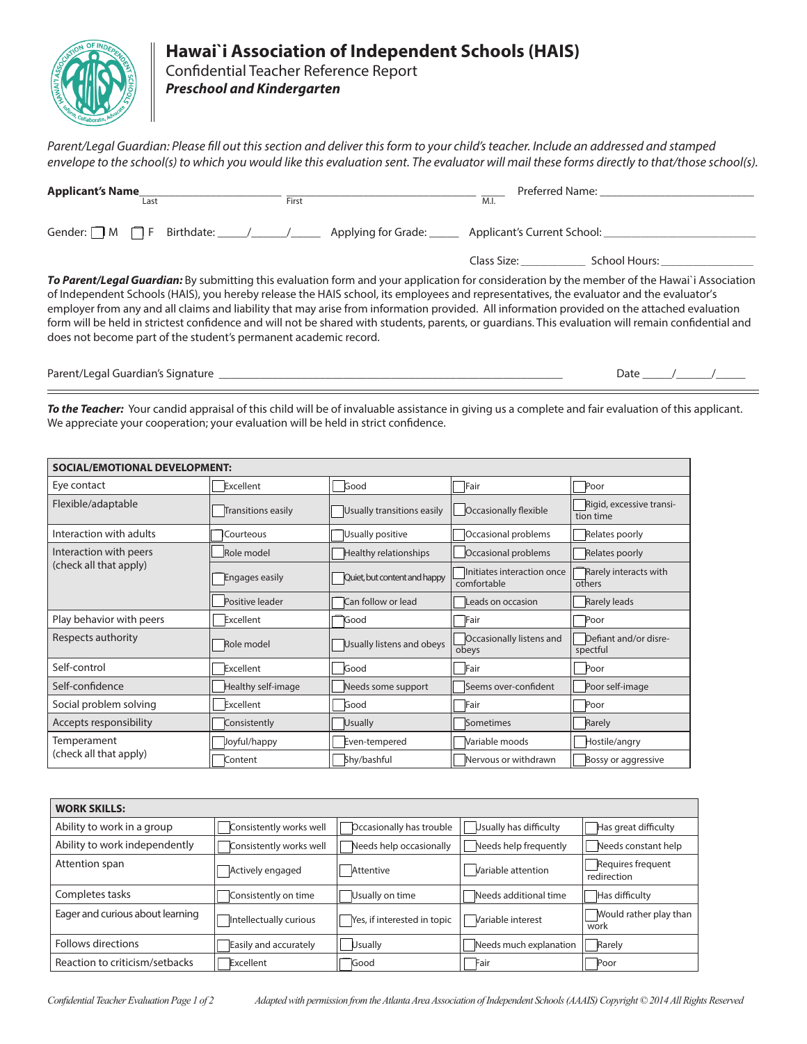

## **Hawai`i Association of Independent Schools (HAIS)**

Confidential Teacher Reference Report *Preschool and Kindergarten*

*Parent/Legal Guardian: Please fill out this section and deliver this form to your child's teacher. Include an addressed and stamped envelope to the school(s) to which you would like this evaluation sent. The evaluator will mail these forms directly to that/those school(s).*

| <b>Applicant's Name</b>                                                                                                                      | Preferred Name: |             |                                               |  |
|----------------------------------------------------------------------------------------------------------------------------------------------|-----------------|-------------|-----------------------------------------------|--|
| Last                                                                                                                                         | First           | M.I.        |                                               |  |
| Gender: $\Box$ M $\Box$ F Birthdate: $\Box$ Applying for Grade:                                                                              |                 |             |                                               |  |
|                                                                                                                                              |                 | Class Size: | School Hours: The Control of the School Hours |  |
| To Parent/Legal Guardian: By submitting this evaluation form and your application for consideration by the member of the Hawai'i Association |                 |             |                                               |  |
| of Independent Schools (HAIS), you hereby release the HAIS school, its employees and representatives, the evaluator and the evaluator's      |                 |             |                                               |  |

of Independent Schools (HAIS), you hereby release the HAIS school, its employees and representatives, the evaluator and the evaluator's employer from any and all claims and liability that may arise from information provided. All information provided on the attached evaluation form will be held in strictest confidence and will not be shared with students, parents, or guardians. This evaluation will remain confidential and does not become part of the student's permanent academic record.

Parent/Legal Guardian's Signature \_\_\_\_\_\_\_\_\_\_\_\_\_\_\_\_\_\_\_\_\_\_\_\_\_\_\_\_\_\_\_\_\_\_\_\_\_\_\_\_\_\_\_\_\_\_\_\_\_\_\_\_\_\_\_\_\_\_ Date \_\_\_\_\_/\_\_\_\_\_\_/\_\_\_\_\_

*To the Teacher:* Your candid appraisal of this child will be of invaluable assistance in giving us a complete and fair evaluation of this applicant. We appreciate your cooperation; your evaluation will be held in strict confidence.

| <b>SOCIAL/EMOTIONAL DEVELOPMENT:</b>  |                           |                                                     |                                                                |                                       |  |  |
|---------------------------------------|---------------------------|-----------------------------------------------------|----------------------------------------------------------------|---------------------------------------|--|--|
| Eye contact                           | Excellent                 | Good                                                | Fair                                                           | Poor                                  |  |  |
| Flexible/adaptable                    | <b>Transitions easily</b> | Usually transitions easily                          | Occasionally flexible                                          | Rigid, excessive transi-<br>tion time |  |  |
| Interaction with adults               | Courteous                 | Usually positive                                    | Occasional problems                                            | Relates poorly                        |  |  |
| Interaction with peers                | Role model                | Occasional problems<br><b>Healthy relationships</b> |                                                                | Relates poorly                        |  |  |
| (check all that apply)                | <b>Engages easily</b>     | Quiet, but content and happy                        | Initiates interaction once<br>$\overline{\text{conf}}$ ortable | Rarely interacts with<br>others       |  |  |
|                                       | Positive leader           | Can follow or lead                                  | Leads on occasion                                              | <b>Rarely leads</b>                   |  |  |
| Play behavior with peers              | Excellent                 | Good                                                | Fair                                                           | Poor                                  |  |  |
| Respects authority                    | Role model                | Usually listens and obeys                           | Occasionally listens and<br>obeys                              | Defiant and/or disre-<br>spectful     |  |  |
| Self-control                          | Excellent                 | Good                                                | Fair                                                           | Poor                                  |  |  |
| Self-confidence                       | Healthy self-image        | Needs some support                                  | Seems over-confident                                           | Poor self-image                       |  |  |
| Social problem solving                | Excellent                 | Good                                                | Fair                                                           | Poor                                  |  |  |
| Accepts responsibility                | Consistently              | <b>Usually</b>                                      | Sometimes                                                      | Rarely                                |  |  |
| Temperament<br>(check all that apply) | Joyful/happy              | Even-tempered                                       | Variable moods                                                 | Hostile/angry                         |  |  |
|                                       | Content                   | Shy/bashful                                         | Nervous or withdrawn                                           | Bossy or aggressive                   |  |  |

| <b>WORK SKILLS:</b>              |                         |                             |                        |                                  |
|----------------------------------|-------------------------|-----------------------------|------------------------|----------------------------------|
| Ability to work in a group       | Consistently works well | Occasionally has trouble    | Usually has difficulty | Has great difficulty             |
| Ability to work independently    | Consistently works well | Needs help occasionally     | Needs help frequently  | Needs constant help              |
| Attention span                   | Actively engaged        | Attentive                   | Variable attention     | Requires frequent<br>redirection |
| Completes tasks                  | Consistently on time    | Usually on time             | Needs additional time  | Has difficulty                   |
| Eager and curious about learning | Intellectually curious  | Yes, if interested in topic | Variable interest      | Would rather play than<br>work   |
| Follows directions               | Easily and accurately   | <b>Usually</b>              | Needs much explanation | Rarely                           |
| Reaction to criticism/setbacks   | Excellent               | Good                        | Fair                   | Poor                             |